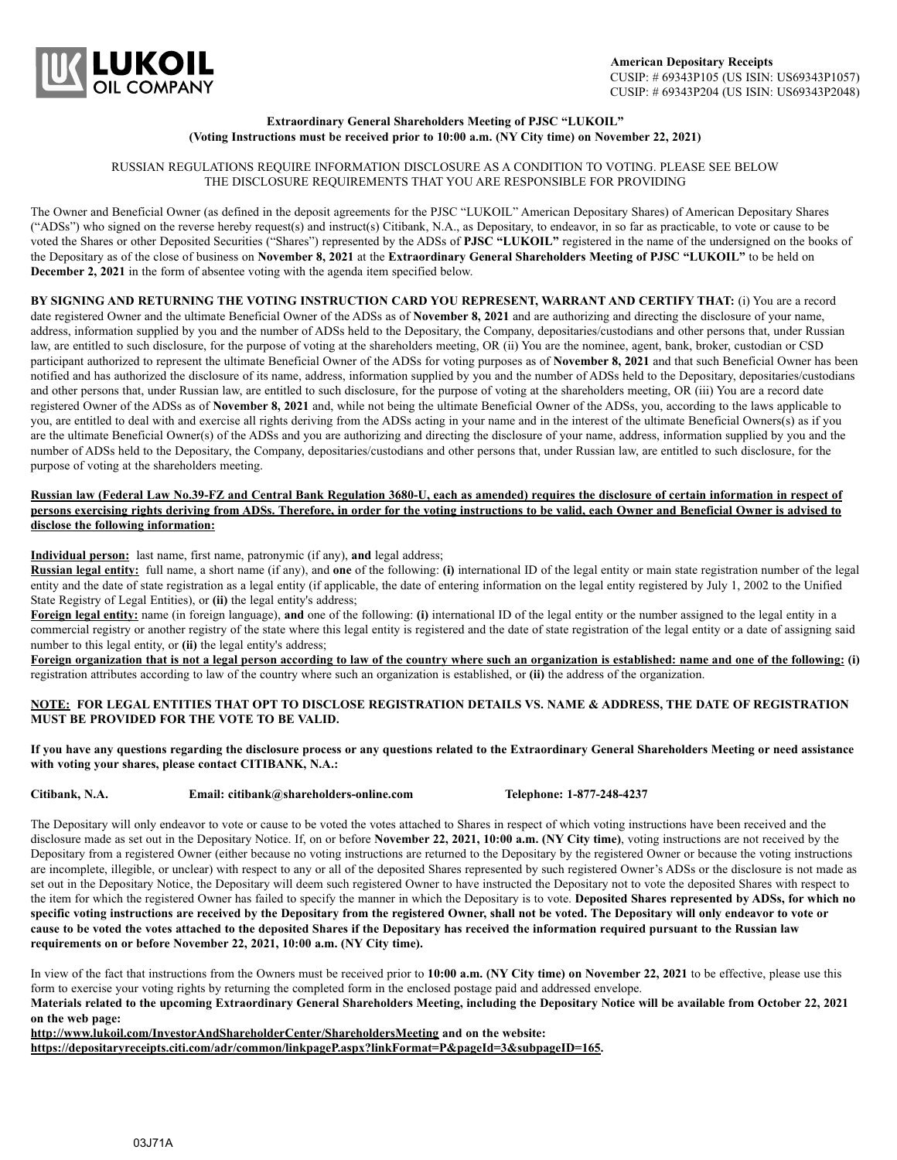

### **Extraordinary General Shareholders Meeting of PJSC "LUKOIL" (Voting Instructions must be received prior to 10:00 a.m. (NY City time) on November 22, 2021)**

### RUSSIAN REGULATIONS REQUIRE INFORMATION DISCLOSURE AS A CONDITION TO VOTING. PLEASE SEE BELOW THE DISCLOSURE REQUIREMENTS THAT YOU ARE RESPONSIBLE FOR PROVIDING

The Owner and Beneficial Owner (as defined in the deposit agreements for the PJSC "LUKOIL" American Depositary Shares) of American Depositary Shares ("ADSs") who signed on the reverse hereby request(s) and instruct(s) Citibank, N.A., as Depositary, to endeavor, in so far as practicable, to vote or cause to be voted the Shares or other Deposited Securities ("Shares") represented by the ADSs of **PJSC "LUKOIL"** registered in the name of the undersigned on the books of the Depositary as of the close of business on **November 8, 2021** at the **Extraordinary General Shareholders Meeting of PJSC "LUKOIL"** to be held on **December 2, 2021** in the form of absentee voting with the agenda item specified below.

**BY SIGNING AND RETURNING THE VOTING INSTRUCTION CARD YOU REPRESENT, WARRANT AND CERTIFY THAT:** (i) You are a record date registered Owner and the ultimate Beneficial Owner of the ADSs as of **November 8, 2021** and are authorizing and directing the disclosure of your name, address, information supplied by you and the number of ADSs held to the Depositary, the Company, depositaries/custodians and other persons that, under Russian law, are entitled to such disclosure, for the purpose of voting at the shareholders meeting, OR (ii) You are the nominee, agent, bank, broker, custodian or CSD participant authorized to represent the ultimate Beneficial Owner of the ADSs for voting purposes as of **November 8, 2021** and that such Beneficial Owner has been notified and has authorized the disclosure of its name, address, information supplied by you and the number of ADSs held to the Depositary, depositaries/custodians and other persons that, under Russian law, are entitled to such disclosure, for the purpose of voting at the shareholders meeting, OR (iii) You are a record date registered Owner of the ADSs as of **November 8, 2021** and, while not being the ultimate Beneficial Owner of the ADSs, you, according to the laws applicable to you, are entitled to deal with and exercise all rights deriving from the ADSs acting in your name and in the interest of the ultimate Beneficial Owners(s) as if you are the ultimate Beneficial Owner(s) of the ADSs and you are authorizing and directing the disclosure of your name, address, information supplied by you and the number of ADSs held to the Depositary, the Company, depositaries/custodians and other persons that, under Russian law, are entitled to such disclosure, for the purpose of voting at the shareholders meeting.

## **Russian law (Federal Law No.39-FZ and Central Bank Regulation 3680-U, each as amended) requires the disclosure of certain information in respect of persons exercising rights deriving from ADSs. Therefore, in order for the voting instructions to be valid, each Owner and Beneficial Owner is advised to disclose the following information:**

**Individual person:** last name, first name, patronymic (if any), **and** legal address;

**Russian legal entity:** full name, a short name (if any), and **one** of the following: **(i)** international ID of the legal entity or main state registration number of the legal entity and the date of state registration as a legal entity (if applicable, the date of entering information on the legal entity registered by July 1, 2002 to the Unified State Registry of Legal Entities), or **(ii)** the legal entity's address;

**Foreign legal entity:** name (in foreign language), and one of the following: (i) international ID of the legal entity or the number assigned to the legal entity in a commercial registry or another registry of the state where this legal entity is registered and the date of state registration of the legal entity or a date of assigning said number to this legal entity, or **(ii)** the legal entity's address;

**Foreign organization that is not a legal person according to law of the country where such an organization is established: name and one of the following: (i)** registration attributes according to law of the country where such an organization is established, or **(ii)** the address of the organization.

## **NOTE: FOR LEGAL ENTITIES THAT OPT TO DISCLOSE REGISTRATION DETAILS VS. NAME & ADDRESS, THE DATE OF REGISTRATION MUST BE PROVIDED FOR THE VOTE TO BE VALID.**

**If you have any questions regarding the disclosure process or any questions related to the Extraordinary General Shareholders Meeting or need assistance with voting your shares, please contact CITIBANK, N.A.:**

**Citibank, N.A. Email: citibank@shareholders-online.com Telephone: 1-877-248-4237**

The Depositary will only endeavor to vote or cause to be voted the votes attached to Shares in respect of which voting instructions have been received and the disclosure made as set out in the Depositary Notice. If, on or before **November 22, 2021, 10:00 a.m. (NY City time)**, voting instructions are not received by the Depositary from a registered Owner (either because no voting instructions are returned to the Depositary by the registered Owner or because the voting instructions are incomplete, illegible, or unclear) with respect to any or all of the deposited Shares represented by such registered Owner's ADSs or the disclosure is not made as set out in the Depositary Notice, the Depositary will deem such registered Owner to have instructed the Depositary not to vote the deposited Shares with respect to the item for which the registered Owner has failed to specify the manner in which the Depositary is to vote. **Deposited Shares represented by ADSs, for which no specific voting instructions are received by the Depositary from the registered Owner, shall not be voted. The Depositary will only endeavor to vote or cause to be voted the votes attached to the deposited Shares if the Depositary has received the information required pursuant to the Russian law requirements on or before November 22, 2021, 10:00 a.m. (NY City time).**

In view of the fact that instructions from the Owners must be received prior to **10:00 a.m. (NY City time) on November 22, 2021** to be effective, please use this form to exercise your voting rights by returning the completed form in the enclosed postage paid and addressed envelope.

**Materials related to the upcoming Extraordinary General Shareholders Meeting, including the Depositary Notice will be available from October 22, 2021 on the web page:**

**http://www.lukoil.com/InvestorAndShareholderCenter/ShareholdersMeeting and on the website:**

**https://depositaryreceipts.citi.com/adr/common/linkpageP.aspx?linkFormat=P&pageId=3&subpageID=165.**